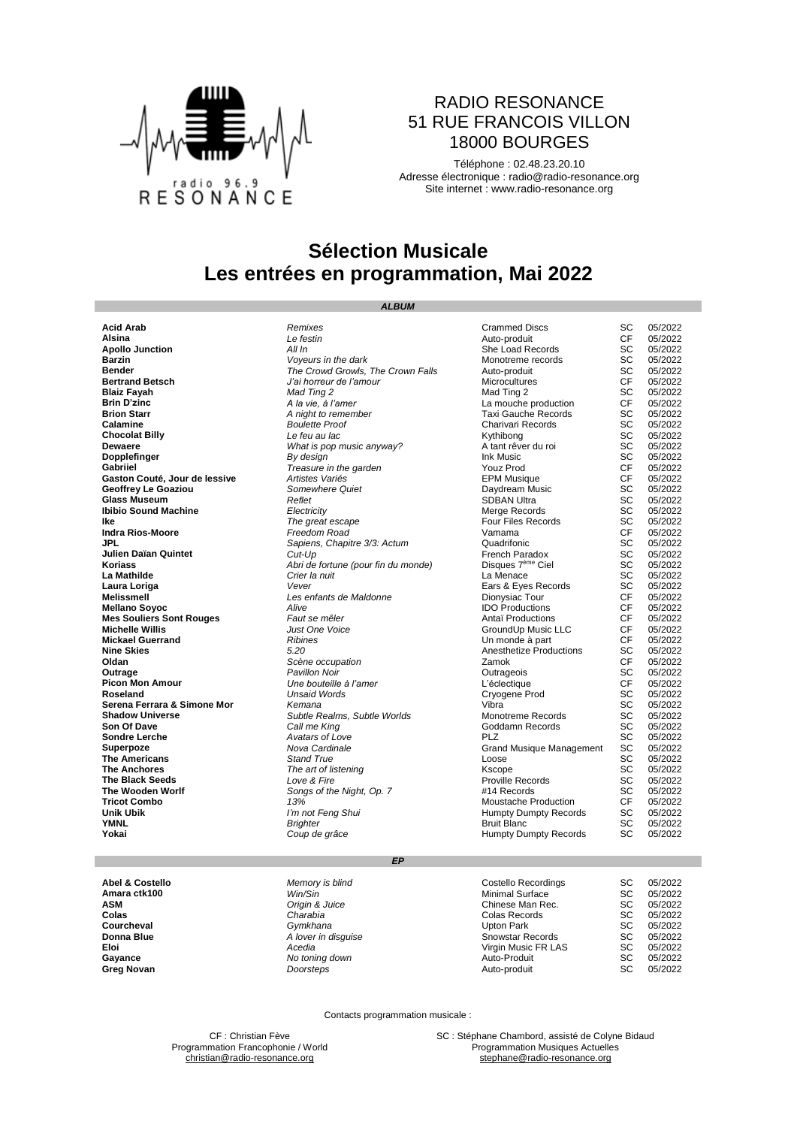

### RADIO RESONANCE 51 RUE FRANCOIS VILLON 18000 BOURGES

Téléphone : 02.48.23.20.10 Adresse électronique : [radio@radio-resonance.org](mailto:radio@radio-resonance.org) Site internet : [www.radio-resonance.org](http://www.radio-resonance.org/)

## **Sélection Musicale Les entrées en programmation, Mai 2022**

*ALBUM*

**Acid Arab** *Remixes* Crammed Discs SC 05/2022 **Alsina** *Le festin* Auto-produit CF 05/2022 **Apollo Junction**<br> **All In** All In She Load Records SC 05/2022<br> **Barzin** SC 05/2022 **Barzin Barzin Barzin SC** 05/2022<br> **Bender** SC 05/2022<br> **Bender** SC 05/2022 **Bender Bender Example 20 The Crown Growls, The Crown Falls** Auto-produit SC<br> **Bertrand Betsch SC 1.1 Auto-produce** *SC* 1.1 Auto-produce *SC* 1.1 Auto-produce *SC* 05<br> **Blaiz Favah Mad Time 2.** SC 3.1 Auto-produce **Bertrand Betsch** *J'ai horreur de l'amour* Microcultures CF 05/2022 **Blaiz Fayah** *Mad Ting 2* Mad Ting 2 SC 05/2022 **Brin D'zinc**<br> **Brin D'zinc**<br> **Brin Starr** CF 05/2022<br> **Brin Starr** CF 05/2022<br> **Brin Starr** CF 05/2022<br>
A *night to remember* Taxi Gauche Records SC 05/2022 **Brion Starr A A** night to remember **Taxi Gauche Records** SC 05/2022<br> **Calamine Boulette Proof Charivari Records** SC 05/2022<br> **Chocolat Billy Charivari Records** SC 05/2022<br>
SC 05/2022 **Calamine Boulette Proof Boulette Proof** Charivari Records SC 05/2022<br> **Chocolat Billy** SC 05/2022<br>
Chocolat Billy SC 05/2022 **Chocolat Billy** *Le feu au lac* Kythibong SC 05/2022 **Dewaere** *What is pop music anyway?* A tant rêver du roi SC 05/2022 **Dopplefinger** *By design* Ink Music SC 05/2022 **Complefinger and Treasure in the garden**<br> **Gabriiel CF 05/2022**<br>
Gaston Couté, Jour de lessive Artistes Variés Variés (Variés CF 05/2022<br>
CF 05/2022<br>
CF 05/2022 **Gaston Couté, Jour de lessive** *Artistes Variés Artistes Variés* **CPM Musique CF 05/2022**<br>Geoffrey Le Goaziou **CF 05/2022**<br>Geoffrey Le Goaziou **COULD Somewhere Quiet** Centre Callet **CR** Daydream Music SC 05/2022 **Geoffrey Le Goaziou** *Somewhere Quiet* Daydream Music SC 05/2022 **Glass Museum SC 05/2022**<br> **Ibibio Sound Machine** *Reflet* **SC** *Complement Black SC 15/2022***<br>
<b>Interposition Complement SC 16/2022**<br> **Interposition Complement Sc 16/2022**<br> **Interposition Complement Sc 16/2022**<br> **Interpos Ibibio Sound Machine** *Electricity Electricity Electricity Electricity Electricity Electricity Electricity Electricity Electricity Electricity Electricity Electricity Electri* **Ike Ike Integreat escape Four Files Records** SC 05/2022<br> **Indra Rios-Moore Freedom Road** Vamama **CF** 05/2022 **Indra Rios-Moore Indra Rios-Moore** *Freedom Road* Vamama CF<br> **IPL** Sapiens, Chapitre 3/3: Actum Quadrifonic SC<br> **Julien Daïan Quintet** Cut-Up *Cut-Up* French Paradox SC<br> **Koriass** Abri de fortune (pour fin du monde) Dis **JPL JPL** Sapiens, Chapitre 3/3: Actum **Quadrifonic** Cuadrifonic SC 05/2022<br> **Julien Daïan Quintet** SC 05/2022<br> **Koriass** SC 05/2022 *Abri de fortune (pour fin du monde)* Disques 7<sup>ème</sup> Ciel SC 05/2022 **Julien Daïan Quintet** *Cut-Up* French Paradox SC 05/2022 **Koriass** *Abri de fortune (pour fin du monde)* Disques 7ème Ciel SC 05/2022 **La Mathilde** *Crier la nuit* La Menace SC 05/2022 **Laura Loriga** *Vever* Ears & Eyes Records SC 05/2022 **Melissmell** *Les enfants de Maldonne* Dionysiac Tour CF 05/2022 **IDO** Productions **Mes Souliers Sont Rouges** *Faut se mêler* **Antaï Productions** CF 05/2022<br> **Michelle Willis CF 05/2022**<br> **Mickael Guerrand CF 05/2022**<br> **Mickael Guerrand CF 05/2022 Michelle Willis** *Just One Voice* GroundUp Music LLC CF 05/2022 **Mickael Guerrand Ribines Ribines CF 05/2022**<br> **Nine Skies CF** 05/2022<br> **Nine Skies SC** 05/2022 **Nine Skies 1.2022**<br> **Nine Skies 5.20 Anesthetize Productions** SC 05/2022<br> **Oldan** Scène occupation **1.2022 2.2002 2.2002 2.2002 2.3000 2.3000 2.3000 Oldan** *Scène occupation* Zamok CF 05/2022 **Outrage** *Pavillon Noir* Outrageois SC 05/2022 **Picon Mon Amour** *Une bouteille à l'amer* L'éclectique CF 05/2022 **Roseland** *Unsaid Words* Cryogene Prod SC 05/2022 **Serena Ferrara & Simone Mor** *Kemana Kemana Subtle Realms, Subtle Worlds* **Community Constrained Scanary Scanary Scanary Scanary Scanary Scanary Scanary Scanary Scanary Scanary Scanary Scanary Scanary Scanary Scanary Shadow Universe Subtle Realms, Subtle Worlds** Monotreme Records SC 05/2022<br> **Son Of Dave** SC 05/2022<br> **Son Of Dave** SC 05/2022 **Son Of Dave Call me King Call me King Call and Call Accords** SC 05/2022<br> **Sondre Lerche Goddamn Records** SC 05/2022 **Sondre Lerche** *Avatars of Love* PLZ SC 05/2022 **Superpoze 1966 Superpoze** *Nova Cardinale* **Grand Musique Management SC 05/2022<br>The Americans <b>Grand True** Stand True **Conse** Loose **COS/2022 The Americans Stand True Stand True Conserversity SC 05/2022**<br> **The Anchores SC 05/2022**<br> **SC 05/2022 The art of listening the art of listening** Kscope SC 05/2022<br> **The art of listening** SC 05/2022<br> **Proville Records** SC 05/2022 **The Black Seeds Example 2018** *Love & Fire* **Proville Records** SC **The Wooden Worlf Consumers SC 05/2022 SC 05/2022 Tricot Combo CF Tricot Combo CF COM The Wooden Worlf Songs of the Night, Op. 7** #14 Records SC 05/2022<br> **Tricot Combo** CF 05/2022<br> **Tricot Combo** CF 05/2022 **The Wooden Worlf 14 Combo 13%** Songs of the Night, Op. 7 **1414** Records **13% 13%** Moustache Production CF 05/2022<br> **13%** Moustache Production CF 05/2022<br> **1414** Records CF 05/2022<br> **15.1414** Moustache Production CF **Unik Ubik** *I'm not Feng Shui* Humpty Dumpty Records SC 05/2022 **YMNL** SC 05/2022 **Brighter** Bruit Blanc SC 05/2022 **Yokai** *Coup de grâce* Humpty Dumpty Records SC 05/2022

#### *EP*

**Abel & Costello** *Memory is blind* Costello Recordings SC 05/2022 **Amara ctk100 and Contract Contract Contract Win/Sin** Minimal Surface **Contract Contract Contract Contract Contract Contract Contract Contract Contract Contract Contract SC 05/2022<br>ASM <b>AM** AMELY Contract Contract Contra **ASM** *Origin & Juice* **Chinese Man Rec.** SC 05/2022<br> **Colas Colas** Charabia *Charabia* Colas Becords SC 05/2022 **Colas** *Charabia* Colas Records SC 05/2022 **Courcheval** *Gymkhana* Upton Park SC 05/2022 **Donna Blue A** *lover in disguise* SC 05/2022 **Snowstar Records SC 05/2022 Eloi Acedia Acedia Acedia Virgin Music FR LAS** SC 05/2022<br> **Gayance Case SC 05/2022 Cayance CONSING Acedia** *No toning down* **CONSING Acedia CONSING Acedia CONSING Acedia Gayance Cayance** *No toning down* **Auto-Produit** SC 05/2022<br> **Greg Novan Consteps Consteps Consteps Auto-produit** SC 05/2022 **Greg Novan Community SC 05/2022** *Doorsteps* **Auto-produit Auto-produit SC 05/2022** 

Contacts programmation musicale :

Programmation Francophonie / World

CF : Christian Fève **SC : Stéphane Chambord, assisté de Colyne Bidaud**<br> **SC : Stéphane Chambord, assisté de Colyne Bidaud**<br> **Programmation Musiques Actuelles** [christian@radio-resonance.org](mailto:christian@radio-resonance.org) [stephane@radio-resonance.org](mailto:stephane@radio-resonance.org) stephane@radio-resonance.org